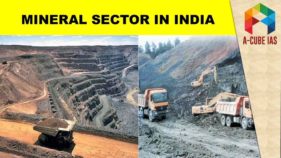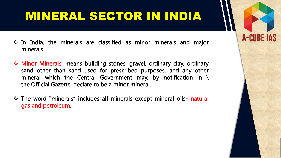In India, the minerals are classified as minor minerals and major minerals.

- Minor Minerals: means building stones, gravel, ordinary clay, ordinary sand other than sand used for prescribed purposes, and any other mineral which the Central Government may, by notification in  $\setminus$ the Official Gazette, declare to be a minor mineral.
- \* The word "minerals" includes all minerals except mineral oils- natural gas and petroleum.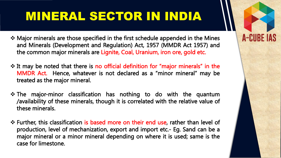Major minerals are those specified in the first schedule appended in the Mines and Minerals (Development and Regulation) Act, 1957 (MMDR Act 1957) and the common major minerals are Lignite, Coal, Uranium, iron ore, gold etc.

- It may be noted that there is no official definition for "major minerals" in the MMDR Act. Hence, whatever is not declared as a "minor mineral" may be treated as the major mineral.
- The major-minor classification has nothing to do with the quantum /availability of these minerals, though it is correlated with the relative value of these minerals.
- Further, this classification is based more on their end use, rather than level of production, level of mechanization, export and import etc.- Eg. Sand can be a major mineral or a minor mineral depending on where it is used; same is the case for limestone.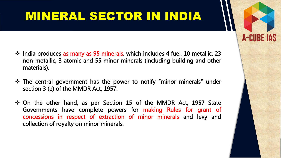India produces as many as 95 minerals, which includes 4 fuel, 10 metallic, 23 non-metallic, 3 atomic and 55 minor minerals (including building and other materials).

- The central government has the power to notify "minor minerals" under section 3 (e) of the MMDR Act, 1957.
- On the other hand, as per Section 15 of the MMDR Act, 1957 State Governments have complete powers for making Rules for grant of concessions in respect of extraction of minor minerals and levy and collection of royalty on minor minerals.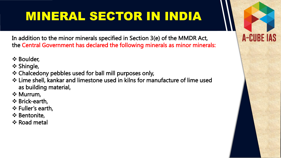In addition to the minor minerals specified in Section 3(e) of the MMDR Act, the Central Government has declared the following minerals as minor minerals:

- **❖ Boulder,**
- ❖ Shingle,
- Chalcedony pebbles used for ball mill purposes only,
- Lime shell, kankar and limestone used in kilns for manufacture of lime used as building material,
- **❖ Murrum,**
- Brick-earth,
- Fuller's earth,
- ❖ Bentonite,
- ❖ Road metal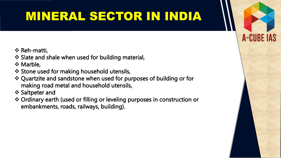- **❖ Reh-matti,**
- ❖ Slate and shale when used for building material,
- **☆ Marble,**
- ❖ Stone used for making household utensils,
- Quartzite and sandstone when used for purposes of building or for making road metal and household utensils,
- **❖ Saltpeter and**
- Ordinary earth (used or filling or leveling purposes in construction or embankments, roads, railways, building).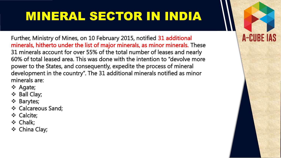**A-CUBE IAS** 

Further, Ministry of Mines, on 10 February 2015, notified 31 additional minerals, hitherto under the list of major minerals, as minor minerals. These 31 minerals account for over 55% of the total number of leases and nearly 60% of total leased area. This was done with the intention to "devolve more power to the States, and consequently, expedite the process of mineral development in the country". The 31 additional minerals notified as minor minerals are:

- ❖ Agate;
- ❖ Ball Clay;
- Barytes;
- ❖ Calcareous Sand;
- **❖** Calcite;
- Chalk;
- China Clay;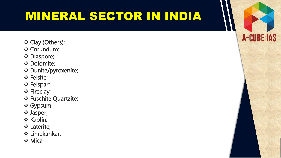- Clay (Others);
- **❖ Corundum;**
- **❖ Diaspore;**
- **❖ Dolomite;**
- Dunite/pyroxenite;
- **❖ Felsite;**
- Felspar;
- **❖ Fireclay;**
- ❖ Fuschite Quartzite;
- Gypsum;
- Jasper;
- ❖ Kaolin;
- Laterite;
- Limekankar;
- ❖ Mica;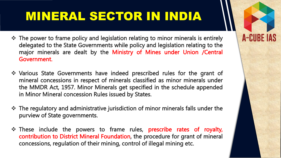$\div$  The power to frame policy and legislation relating to minor minerals is entirely delegated to the State Governments while policy and legislation relating to the major minerals are dealt by the Ministry of Mines under Union /Central Government.

- Various State Governments have indeed prescribed rules for the grant of mineral concessions in respect of minerals classified as minor minerals under the MMDR Act, 1957. Minor Minerals get specified in the schedule appended in Minor Mineral concession Rules issued by States.
- The regulatory and administrative jurisdiction of minor minerals falls under the purview of State governments.
- \* These include the powers to frame rules, prescribe rates of royalty, contribution to District Mineral Foundation, the procedure for grant of mineral concessions, regulation of their mining, control of illegal mining etc.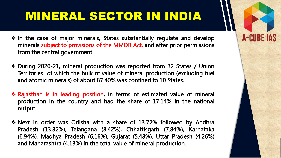\* In the case of major minerals, States substantially regulate and develop minerals subject to provisions of the MMDR Act, and after prior permissions from the central government.

- During 2020-21, mineral production was reported from 32 States / Union Territories of which the bulk of value of mineral production (excluding fuel and atomic minerals) of about 87.40% was confined to 10 States.
- Rajasthan is in leading position, in terms of estimated value of mineral production in the country and had the share of 17.14% in the national output.
- \* Next in order was Odisha with a share of 13.72% followed by Andhra Pradesh (13.32%), Telangana (8.42%), Chhattisgarh (7.84%), Karnataka (6.94%), Madhya Pradesh (6.16%), Gujarat (5.48%), Uttar Pradesh (4.26%) and Maharashtra (4.13%) in the total value of mineral production.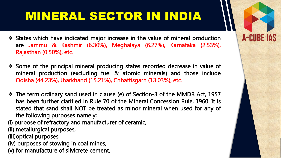States which have indicated major increase in the value of mineral production are Jammu & Kashmir (6.30%), Meghalaya (6.27%), Karnataka (2.53%), Rajasthan (0.50%), etc.

**A-CUBE IAS** 

- Some of the principal mineral producing states recorded decrease in value of mineral production (excluding fuel & atomic minerals) and those include Odisha (44.23%), Jharkhand (15.21%), Chhattisgarh (13.03%), etc.
- The term ordinary sand used in clause (e) of Section-3 of the MMDR Act, 1957 has been further clarified in Rule 70 of the Mineral Concession Rule, 1960. It is stated that sand shall NOT be treated as minor mineral when used for any of the following purposes namely;

(i) purpose of refractory and manufacturer of ceramic,

(ii) metallurgical purposes,

(iii)optical purposes,

(iv) purposes of stowing in coal mines,

(v) for manufacture of silvicrete cement,